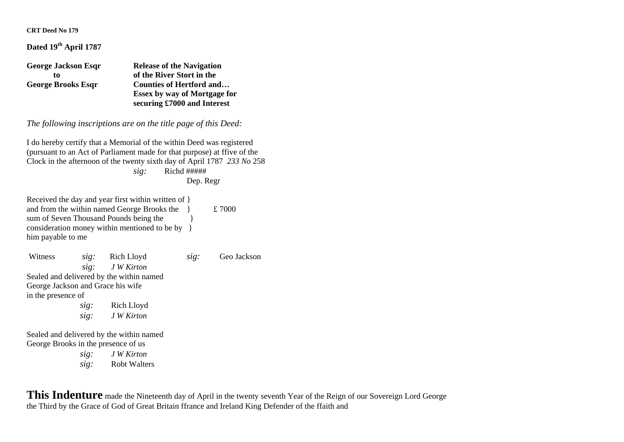**CRT Deed No 179** 

## **Dated 19th April 1787**

| <b>George Jackson Esqr</b> | <b>Release of the Navigation</b>    |  |
|----------------------------|-------------------------------------|--|
| to                         | of the River Stort in the           |  |
| <b>George Brooks Esqr</b>  | <b>Counties of Hertford and</b>     |  |
|                            | <b>Essex by way of Mortgage for</b> |  |
|                            | securing £7000 and Interest         |  |

*The following inscriptions are on the title page of this Deed:*

I do hereby certify that a Memorial of the within Deed was registered (pursuant to an Act of Parliament made for that purpose) at ffive of the Clock in the afternoon of the twenty sixth day of April 1787 *233 No* 258 *sig:* Richd ##### Dep. Regr

Received the day and year first within written of } and from the within named George Brooks the  $\hat{z}$  £ 7000 sum of Seven Thousand Pounds being the consideration money within mentioned to be by } him payable to me

| Witness                           |      | sig: Rich Lloyd                          | sig: | Geo Jackson |
|-----------------------------------|------|------------------------------------------|------|-------------|
|                                   |      | sig: JW Kirton                           |      |             |
|                                   |      | Sealed and delivered by the within named |      |             |
| George Jackson and Grace his wife |      |                                          |      |             |
| in the presence of                |      |                                          |      |             |
|                                   | sig: | Rich Lloyd                               |      |             |
|                                   |      | sig: JW Kirton                           |      |             |
|                                   |      | Sealed and delivered by the within named |      |             |

George Brooks in the presence of us

*sig: J W Kirton sig:* Robt Walters

**This Indenture** made the Nineteenth day of April in the twenty seventh Year of the Reign of our Sovereign Lord George the Third by the Grace of God of Great Britain ffrance and Ireland King Defender of the ffaith and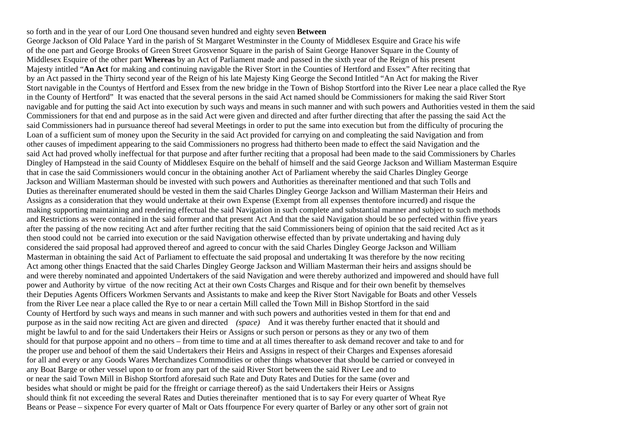so forth and in the year of our Lord One thousand seven hundred and eighty seven **Between**  George Jackson of Old Palace Yard in the parish of St Margaret Westminster in the County of Middlesex Esquire and Grace his wife of the one part and George Brooks of Green Street Grosvenor Square in the parish of Saint George Hanover Square in the County of Middlesex Esquire of the other part **Whereas** by an Act of Parliament made and passed in the sixth year of the Reign of his present Majesty intitled "**An Act** for making and continuing navigable the River Stort in the Counties of Hertford and Essex" After reciting that by an Act passed in the Thirty second year of the Reign of his late Majesty King George the Second Intitled "An Act for making the River Stort navigable in the Countys of Hertford and Essex from the new bridge in the Town of Bishop Stortford into the River Lee near a place called the Rye in the County of Hertford" It was enacted that the several persons in the said Act named should be Commissioners for making the said River Stort navigable and for putting the said Act into execution by such ways and means in such manner and with such powers and Authorities vested in them the said Commissioners for that end and purpose as in the said Act were given and directed and after further directing that after the passing the said Act the said Commissioners had in pursuance thereof had several Meetings in order to put the same into execution but from the difficulty of procuring the Loan of a sufficient sum of money upon the Security in the said Act provided for carrying on and compleating the said Navigation and from other causes of impediment appearing to the said Commissioners no progress had thitherto been made to effect the said Navigation and the said Act had proved wholly ineffectual for that purpose and after further reciting that a proposal had been made to the said Commissioners by Charles Dingley of Hampstead in the said County of Middlesex Esquire on the behalf of himself and the said George Jackson and William Masterman Esquire that in case the said Commissioners would concur in the obtaining another Act of Parliament whereby the said Charles Dingley George Jackson and William Masterman should be invested with such powers and Authorities as thereinafter mentioned and that such Tolls and Duties as thereinafter enumerated should be vested in them the said Charles Dingley George Jackson and William Masterman their Heirs and Assigns as a consideration that they would undertake at their own Expense (Exempt from all expenses thentofore incurred) and risque the making supporting maintaining and rendering effectual the said Navigation in such complete and substantial manner and subject to such methods and Restrictions as were contained in the said former and that present Act And that the said Navigation should be so perfected within ffive years after the passing of the now reciting Act and after further reciting that the said Commissioners being of opinion that the said recited Act as it then stood could not be carried into execution or the said Navigation otherwise effected than by private undertaking and having duly considered the said proposal had approved thereof and agreed to concur with the said Charles Dingley George Jackson and William Masterman in obtaining the said Act of Parliament to effectuate the said proposal and undertaking It was therefore by the now reciting Act among other things Enacted that the said Charles Dingley George Jackson and William Masterman their heirs and assigns should be and were thereby nominated and appointed Undertakers of the said Navigation and were thereby authorized and impowered and should have full power and Authority by virtue of the now reciting Act at their own Costs Charges and Risque and for their own benefit by themselves their Deputies Agents Officers Workmen Servants and Assistants to make and keep the River Stort Navigable for Boats and other Vessels from the River Lee near a place called the Rye to or near a certain Mill called the Town Mill in Bishop Stortford in the said County of Hertford by such ways and means in such manner and with such powers and authorities vested in them for that end and purpose as in the said now reciting Act are given and directed *(space)* And it was thereby further enacted that it should and might be lawful to and for the said Undertakers their Heirs or Assigns or such person or persons as they or any two of them should for that purpose appoint and no others – from time to time and at all times thereafter to ask demand recover and take to and for the proper use and behoof of them the said Undertakers their Heirs and Assigns in respect of their Charges and Expenses aforesaid for all and every or any Goods Wares Merchandizes Commodities or other things whatsoever that should be carried or conveyed in any Boat Barge or other vessel upon to or from any part of the said River Stort between the said River Lee and to or near the said Town Mill in Bishop Stortford aforesaid such Rate and Duty Rates and Duties for the same (over and besides what should or might be paid for the ffreight or carriage thereof) as the said Undertakers their Heirs or Assigns should think fit not exceeding the several Rates and Duties thereinafter mentioned that is to say For every quarter of Wheat Rye Beans or Pease – sixpence For every quarter of Malt or Oats ffourpence For every quarter of Barley or any other sort of grain not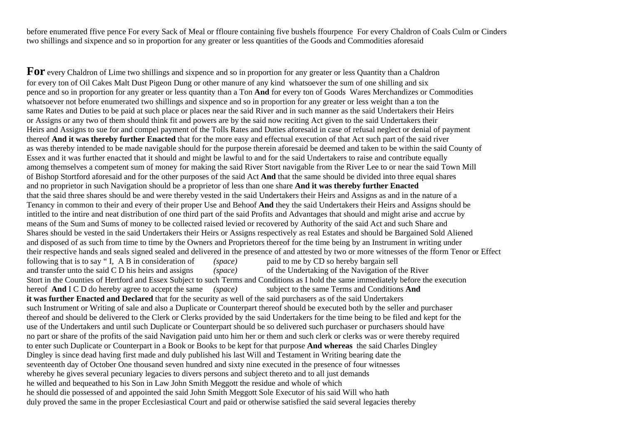before enumerated ffive pence For every Sack of Meal or ffloure containing five bushels ffourpence For every Chaldron of Coals Culm or Cinders two shillings and sixpence and so in proportion for any greater or less quantities of the Goods and Commodities aforesaid

**For** every Chaldron of Lime two shillings and sixpence and so in proportion for any greater or less Quantity than a Chaldron for every ton of Oil Cakes Malt Dust Pigeon Dung or other manure of any kind whatsoever the sum of one shilling and six pence and so in proportion for any greater or less quantity than a Ton **And** for every ton of Goods Wares Merchandizes or Commodities whatsoever not before enumerated two shillings and sixpence and so in proportion for any greater or less weight than a ton the same Rates and Duties to be paid at such place or places near the said River and in such manner as the said Undertakers their Heirs or Assigns or any two of them should think fit and powers are by the said now reciting Act given to the said Undertakers their Heirs and Assigns to sue for and compel payment of the Tolls Rates and Duties aforesaid in case of refusal neglect or denial of payment thereof **And it was thereby further Enacted** that for the more easy and effectual execution of that Act such part of the said river as was thereby intended to be made navigable should for the purpose therein aforesaid be deemed and taken to be within the said County of Essex and it was further enacted that it should and might be lawful to and for the said Undertakers to raise and contribute equally among themselves a competent sum of money for making the said River Stort navigable from the River Lee to or near the said Town Mill of Bishop Stortford aforesaid and for the other purposes of the said Act **And** that the same should be divided into three equal shares and no proprietor in such Navigation should be a proprietor of less than one share **And it was thereby further Enacted** that the said three shares should be and were thereby vested in the said Undertakers their Heirs and Assigns as and in the nature of a Tenancy in common to their and every of their proper Use and Behoof **And** they the said Undertakers their Heirs and Assigns should be intitled to the intire and neat distribution of one third part of the said Profits and Advantages that should and might arise and accrue by means of the Sum and Sums of money to be collected raised levied or recovered by Authority of the said Act and such Share and Shares should be vested in the said Undertakers their Heirs or Assigns respectively as real Estates and should be Bargained Sold Aliened and disposed of as such from time to time by the Owners and Proprietors thereof for the time being by an Instrument in writing under their respective hands and seals signed sealed and delivered in the presence of and attested by two or more witnesses of the fform Tenor or Effect following that is to say " I, A B in consideration of *(space)* paid to me by CD so hereby bargain sell and transfer unto the said C D his heirs and assigns *(space)* of the Undertaking of the Navigation of the River Stort in the Counties of Hertford and Essex Subject to such Terms and Conditions as I hold the same immediately before the execution hereof **And** I C D do hereby agree to accept the same *(space)* subject to the same Terms and Conditions **And it was further Enacted and Declared** that for the security as well of the said purchasers as of the said Undertakers such Instrument or Writing of sale and also a Duplicate or Counterpart thereof should be executed both by the seller and purchaser thereof and should be delivered to the Clerk or Clerks provided by the said Undertakers for the time being to be filed and kept for the use of the Undertakers and until such Duplicate or Counterpart should be so delivered such purchaser or purchasers should have no part or share of the profits of the said Navigation paid unto him her or them and such clerk or clerks was or were thereby required to enter such Duplicate or Counterpart in a Book or Books to be kept for that purpose **And whereas** the said Charles Dingley Dingley is since dead having first made and duly published his last Will and Testament in Writing bearing date the seventeenth day of October One thousand seven hundred and sixty nine executed in the presence of four witnesses whereby he gives several pecuniary legacies to divers persons and subject thereto and to all just demands he willed and bequeathed to his Son in Law John Smith Meggott the residue and whole of which he should die possessed of and appointed the said John Smith Meggott Sole Executor of his said Will who hath duly proved the same in the proper Ecclesiastical Court and paid or otherwise satisfied the said several legacies thereby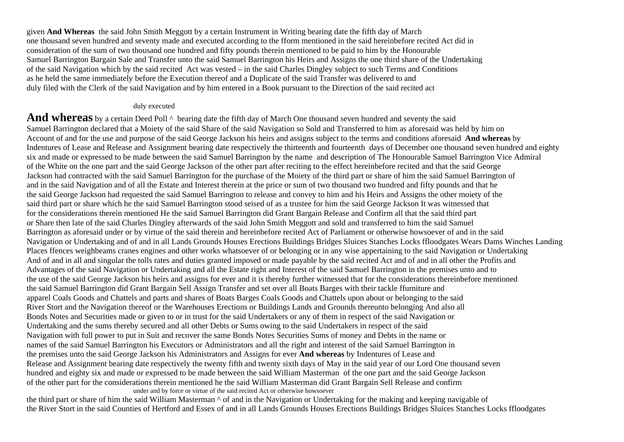given **And Whereas** the said John Smith Meggott by a certain Instrument in Writing bearing date the fifth day of March one thousand seven hundred and seventy made and executed according to the fform mentioned in the said hereinbefore recited Act did in consideration of the sum of two thousand one hundred and fifty pounds therein mentioned to be paid to him by the Honourable Samuel Barrington Bargain Sale and Transfer unto the said Samuel Barrington his Heirs and Assigns the one third share of the Undertaking of the said Navigation which by the said recited Act was vested – in the said Charles Dingley subject to such Terms and Conditions as he held the same immediately before the Execution thereof and a Duplicate of the said Transfer was delivered to and duly filed with the Clerk of the said Navigation and by him entered in a Book pursuant to the Direction of the said recited act

## duly executed

And whereas by a certain Deed Poll  $\wedge$  bearing date the fifth day of March One thousand seven hundred and seventy the said Samuel Barrington declared that a Moiety of the said Share of the said Navigation so Sold and Transferred to him as aforesaid was held by him on Account of and for the use and purpose of the said George Jackson his heirs and assigns subject to the terms and conditions aforesaid **And whereas** by Indentures of Lease and Release and Assignment bearing date respectively the thirteenth and fourteenth days of December one thousand seven hundred and eighty six and made or expressed to be made between the said Samuel Barrington by the name and description of The Honourable Samuel Barrington Vice Admiral of the White on the one part and the said George Jackson of the other part after reciting to the effect hereinbefore recited and that the said George Jackson had contracted with the said Samuel Barrington for the purchase of the Moiety of the third part or share of him the said Samuel Barrington of and in the said Navigation and of all the Estate and Interest therein at the price or sum of two thousand two hundred and fifty pounds and that he the said George Jackson had requested the said Samuel Barrington to release and convey to him and his Heirs and Assigns the other moiety of the said third part or share which he the said Samuel Barrington stood seised of as a trustee for him the said George Jackson It was witnessed that for the considerations therein mentioned He the said Samuel Barrington did Grant Bargain Release and Confirm all that the said third part or Share then late of the said Charles Dingley afterwards of the said John Smith Meggott and sold and transferred to him the said Samuel Barrington as aforesaid under or by virtue of the said therein and hereinbefore recited Act of Parliament or otherwise howsoever of and in the said Navigation or Undertaking and of and in all Lands Grounds Houses Erections Buildings Bridges Sluices Stanches Locks ffloodgates Wears Dams Winches Landing Places ffences weighbeams cranes engines and other works whatsoever of or belonging or in any wise appertaining to the said Navigation or Undertaking And of and in all and singular the tolls rates and duties granted imposed or made payable by the said recited Act and of and in all other the Profits and Advantages of the said Navigation or Undertaking and all the Estate right and Interest of the said Samuel Barrington in the premises unto and to the use of the said George Jackson his heirs and assigns for ever and it is thereby further witnessed that for the considerations thereinbefore mentioned the said Samuel Barrington did Grant Bargain Sell Assign Transfer and set over all Boats Barges with their tackle ffurniture and apparel Coals Goods and Chattels and parts and shares of Boats Barges Coals Goods and Chattels upon about or belonging to the said River Stort and the Navigation thereof or the Warehouses Erections or Buildings Lands and Grounds thereunto belonging And also all Bonds Notes and Securities made or given to or in trust for the said Undertakers or any of them in respect of the said Navigation or Undertaking and the sums thereby secured and all other Debts or Sums owing to the said Undertakers in respect of the said Navigation with full power to put in Suit and recover the same Bonds Notes Securities Sums of money and Debts in the name or names of the said Samuel Barrington his Executors or Administrators and all the right and interest of the said Samuel Barrington in the premises unto the said George Jackson his Administrators and Assigns for ever **And whereas** by Indentures of Lease and Release and Assignment bearing date respectively the twenty fifth and twenty sixth days of May in the said year of our Lord One thousand seven hundred and eighty six and made or expressed to be made between the said William Masterman of the one part and the said George Jackson of the other part for the considerations therein mentioned he the said William Masterman did Grant Bargain Sell Release and confirm under and by force or virtue of the said recited Act or otherwise howsoever

the third part or share of him the said William Masterman ^ of and in the Navigation or Undertaking for the making and keeping navigable of the River Stort in the said Counties of Hertford and Essex of and in all Lands Grounds Houses Erections Buildings Bridges Sluices Stanches Locks ffloodgates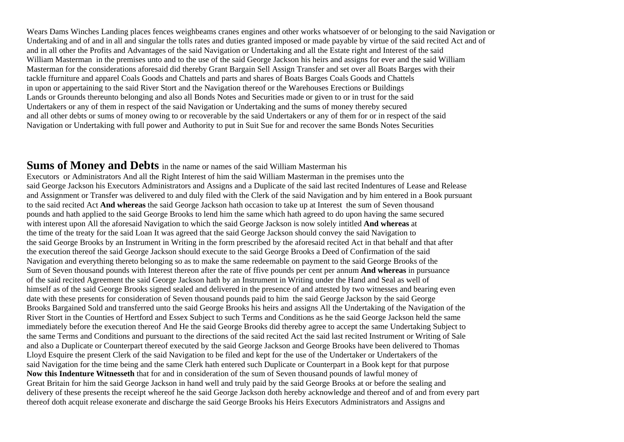Wears Dams Winches Landing places fences weighbeams cranes engines and other works whatsoever of or belonging to the said Navigation or Undertaking and of and in all and singular the tolls rates and duties granted imposed or made payable by virtue of the said recited Act and of and in all other the Profits and Advantages of the said Navigation or Undertaking and all the Estate right and Interest of the said William Masterman in the premises unto and to the use of the said George Jackson his heirs and assigns for ever and the said William Masterman for the considerations aforesaid did thereby Grant Bargain Sell Assign Transfer and set over all Boats Barges with their tackle ffurniture and apparel Coals Goods and Chattels and parts and shares of Boats Barges Coals Goods and Chattels in upon or appertaining to the said River Stort and the Navigation thereof or the Warehouses Erections or Buildings Lands or Grounds thereunto belonging and also all Bonds Notes and Securities made or given to or in trust for the said Undertakers or any of them in respect of the said Navigation or Undertaking and the sums of money thereby secured and all other debts or sums of money owing to or recoverable by the said Undertakers or any of them for or in respect of the said Navigation or Undertaking with full power and Authority to put in Suit Sue for and recover the same Bonds Notes Securities

## **Sums of Money and Debts** in the name or names of the said William Masterman his

Executors or Administrators And all the Right Interest of him the said William Masterman in the premises unto the said George Jackson his Executors Administrators and Assigns and a Duplicate of the said last recited Indentures of Lease and Release and Assignment or Transfer was delivered to and duly filed with the Clerk of the said Navigation and by him entered in a Book pursuant to the said recited Act **And whereas** the said George Jackson hath occasion to take up at Interest the sum of Seven thousand pounds and hath applied to the said George Brooks to lend him the same which hath agreed to do upon having the same secured with interest upon All the aforesaid Navigation to which the said George Jackson is now solely intitled **And whereas** at the time of the treaty for the said Loan It was agreed that the said George Jackson should convey the said Navigation to the said George Brooks by an Instrument in Writing in the form prescribed by the aforesaid recited Act in that behalf and that after the execution thereof the said George Jackson should execute to the said George Brooks a Deed of Confirmation of the said Navigation and everything thereto belonging so as to make the same redeemable on payment to the said George Brooks of the Sum of Seven thousand pounds with Interest thereon after the rate of ffive pounds per cent per annum **And whereas** in pursuance of the said recited Agreement the said George Jackson hath by an Instrument in Writing under the Hand and Seal as well of himself as of the said George Brooks signed sealed and delivered in the presence of and attested by two witnesses and bearing even date with these presents for consideration of Seven thousand pounds paid to him the said George Jackson by the said George Brooks Bargained Sold and transferred unto the said George Brooks his heirs and assigns All the Undertaking of the Navigation of the River Stort in the Counties of Hertford and Essex Subject to such Terms and Conditions as he the said George Jackson held the same immediately before the execution thereof And He the said George Brooks did thereby agree to accept the same Undertaking Subject to the same Terms and Conditions and pursuant to the directions of the said recited Act the said last recited Instrument or Writing of Sale and also a Duplicate or Counterpart thereof executed by the said George Jackson and George Brooks have been delivered to Thomas Lloyd Esquire the present Clerk of the said Navigation to be filed and kept for the use of the Undertaker or Undertakers of the said Navigation for the time being and the same Clerk hath entered such Duplicate or Counterpart in a Book kept for that purpose **Now this Indenture Witnesseth** that for and in consideration of the sum of Seven thousand pounds of lawful money of Great Britain for him the said George Jackson in hand well and truly paid by the said George Brooks at or before the sealing and delivery of these presents the receipt whereof he the said George Jackson doth hereby acknowledge and thereof and of and from every part thereof doth acquit release exonerate and discharge the said George Brooks his Heirs Executors Administrators and Assigns and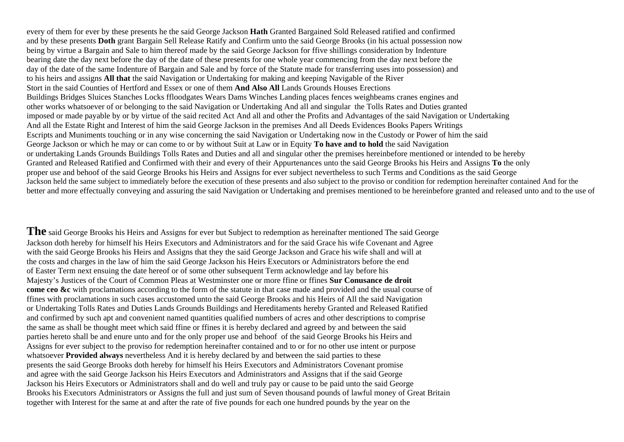every of them for ever by these presents he the said George Jackson **Hath** Granted Bargained Sold Released ratified and confirmed and by these presents **Doth** grant Bargain Sell Release Ratify and Confirm unto the said George Brooks (in his actual possession now being by virtue a Bargain and Sale to him thereof made by the said George Jackson for ffive shillings consideration by Indenture bearing date the day next before the day of the date of these presents for one whole year commencing from the day next before the day of the date of the same Indenture of Bargain and Sale and by force of the Statute made for transferring uses into possession) and to his heirs and assigns **All that** the said Navigation or Undertaking for making and keeping Navigable of the River Stort in the said Counties of Hertford and Essex or one of them **And Also All** Lands Grounds Houses Erections Buildings Bridges Sluices Stanches Locks ffloodgates Wears Dams Winches Landing places fences weighbeams cranes engines and other works whatsoever of or belonging to the said Navigation or Undertaking And all and singular the Tolls Rates and Duties granted imposed or made payable by or by virtue of the said recited Act And all and other the Profits and Advantages of the said Navigation or Undertaking And all the Estate Right and Interest of him the said George Jackson in the premises And all Deeds Evidences Books Papers Writings Escripts and Muniments touching or in any wise concerning the said Navigation or Undertaking now in the Custody or Power of him the said George Jackson or which he may or can come to or by without Suit at Law or in Equity **To have and to hold** the said Navigation or undertaking Lands Grounds Buildings Tolls Rates and Duties and all and singular other the premises hereinbefore mentioned or intended to be hereby Granted and Released Ratified and Confirmed with their and every of their Appurtenances unto the said George Brooks his Heirs and Assigns **To** the only proper use and behoof of the said George Brooks his Heirs and Assigns for ever subject nevertheless to such Terms and Conditions as the said George Jackson held the same subject to immediately before the execution of these presents and also subject to the proviso or condition for redemption hereinafter contained And for the better and more effectually conveying and assuring the said Navigation or Undertaking and premises mentioned to be hereinbefore granted and released unto and to the use of

**The** said George Brooks his Heirs and Assigns for ever but Subject to redemption as hereinafter mentioned The said George Jackson doth hereby for himself his Heirs Executors and Administrators and for the said Grace his wife Covenant and Agree with the said George Brooks his Heirs and Assigns that they the said George Jackson and Grace his wife shall and will at the costs and charges in the law of him the said George Jackson his Heirs Executors or Administrators before the end of Easter Term next ensuing the date hereof or of some other subsequent Term acknowledge and lay before his Majesty's Justices of the Court of Common Pleas at Westminster one or more ffine or ffines **Sur Conusance de droit come ceo &c** with proclamations according to the form of the statute in that case made and provided and the usual course of ffines with proclamations in such cases accustomed unto the said George Brooks and his Heirs of All the said Navigation or Undertaking Tolls Rates and Duties Lands Grounds Buildings and Hereditaments hereby Granted and Released Ratified and confirmed by such apt and convenient named quantities qualified numbers of acres and other descriptions to comprise the same as shall be thought meet which said ffine or ffines it is hereby declared and agreed by and between the said parties hereto shall be and enure unto and for the only proper use and behoof of the said George Brooks his Heirs and Assigns for ever subject to the proviso for redemption hereinafter contained and to or for no other use intent or purpose whatsoever **Provided always** nevertheless And it is hereby declared by and between the said parties to these presents the said George Brooks doth hereby for himself his Heirs Executors and Administrators Covenant promise and agree with the said George Jackson his Heirs Executors and Administrators and Assigns that if the said George Jackson his Heirs Executors or Administrators shall and do well and truly pay or cause to be paid unto the said George Brooks his Executors Administrators or Assigns the full and just sum of Seven thousand pounds of lawful money of Great Britain together with Interest for the same at and after the rate of five pounds for each one hundred pounds by the year on the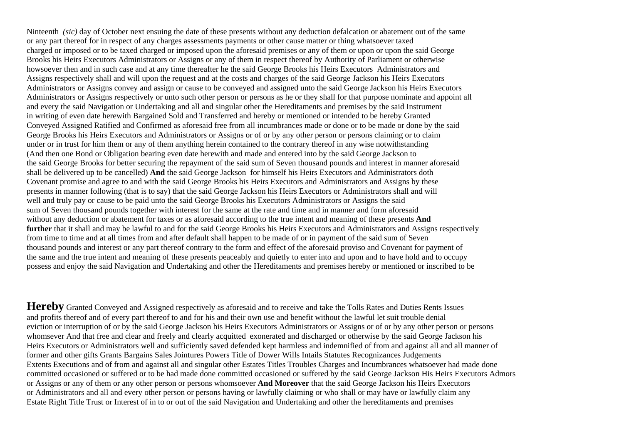Ninteenth *(sic)* day of October next ensuing the date of these presents without any deduction defalcation or abatement out of the same or any part thereof for in respect of any charges assessments payments or other cause matter or thing whatsoever taxed charged or imposed or to be taxed charged or imposed upon the aforesaid premises or any of them or upon or upon the said George Brooks his Heirs Executors Administrators or Assigns or any of them in respect thereof by Authority of Parliament or otherwise howsoever then and in such case and at any time thereafter he the said George Brooks his Heirs Executors Administrators and Assigns respectively shall and will upon the request and at the costs and charges of the said George Jackson his Heirs Executors Administrators or Assigns convey and assign or cause to be conveyed and assigned unto the said George Jackson his Heirs Executors Administrators or Assigns respectively or unto such other person or persons as he or they shall for that purpose nominate and appoint all and every the said Navigation or Undertaking and all and singular other the Hereditaments and premises by the said Instrument in writing of even date herewith Bargained Sold and Transferred and hereby or mentioned or intended to be hereby Granted Conveyed Assigned Ratified and Confirmed as aforesaid free from all incumbrances made or done or to be made or done by the said George Brooks his Heirs Executors and Administrators or Assigns or of or by any other person or persons claiming or to claim under or in trust for him them or any of them anything herein contained to the contrary thereof in any wise notwithstanding (And then one Bond or Obligation bearing even date herewith and made and entered into by the said George Jackson to the said George Brooks for better securing the repayment of the said sum of Seven thousand pounds and interest in manner aforesaid shall be delivered up to be cancelled) **And** the said George Jackson for himself his Heirs Executors and Administrators doth Covenant promise and agree to and with the said George Brooks his Heirs Executors and Administrators and Assigns by these presents in manner following (that is to say) that the said George Jackson his Heirs Executors or Administrators shall and will well and truly pay or cause to be paid unto the said George Brooks his Executors Administrators or Assigns the said sum of Seven thousand pounds together with interest for the same at the rate and time and in manner and form aforesaid without any deduction or abatement for taxes or as aforesaid according to the true intent and meaning of these presents **And further** that it shall and may be lawful to and for the said George Brooks his Heirs Executors and Administrators and Assigns respectively from time to time and at all times from and after default shall happen to be made of or in payment of the said sum of Seven thousand pounds and interest or any part thereof contrary to the form and effect of the aforesaid proviso and Covenant for payment of the same and the true intent and meaning of these presents peaceably and quietly to enter into and upon and to have hold and to occupy possess and enjoy the said Navigation and Undertaking and other the Hereditaments and premises hereby or mentioned or inscribed to be

Hereby Granted Conveyed and Assigned respectively as aforesaid and to receive and take the Tolls Rates and Duties Rents Issues and profits thereof and of every part thereof to and for his and their own use and benefit without the lawful let suit trouble denial eviction or interruption of or by the said George Jackson his Heirs Executors Administrators or Assigns or of or by any other person or persons whomsever And that free and clear and freely and clearly acquitted exonerated and discharged or otherwise by the said George Jackson his Heirs Executors or Administrators well and sufficiently saved defended kept harmless and indemnified of from and against all and all manner of former and other gifts Grants Bargains Sales Jointures Powers Title of Dower Wills Intails Statutes Recognizances Judgements Extents Executions and of from and against all and singular other Estates Titles Troubles Charges and Incumbrances whatsoever had made done committed occasioned or suffered or to be had made done committed occasioned or suffered by the said George Jackson His Heirs Executors Admors or Assigns or any of them or any other person or persons whomsoever **And Moreover** that the said George Jackson his Heirs Executors or Administrators and all and every other person or persons having or lawfully claiming or who shall or may have or lawfully claim any Estate Right Title Trust or Interest of in to or out of the said Navigation and Undertaking and other the hereditaments and premises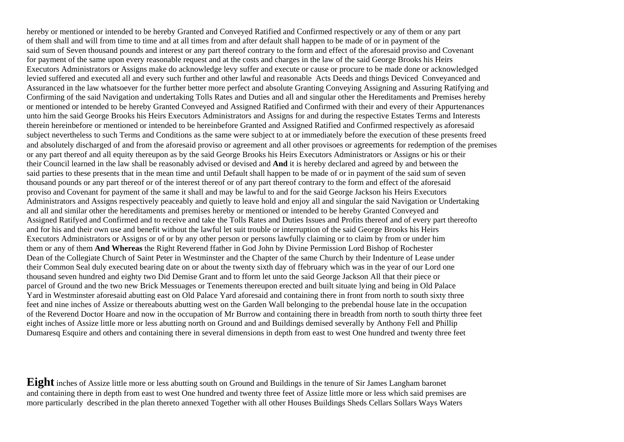hereby or mentioned or intended to be hereby Granted and Conveyed Ratified and Confirmed respectively or any of them or any part of them shall and will from time to time and at all times from and after default shall happen to be made of or in payment of the said sum of Seven thousand pounds and interest or any part thereof contrary to the form and effect of the aforesaid proviso and Covenant for payment of the same upon every reasonable request and at the costs and charges in the law of the said George Brooks his Heirs Executors Administrators or Assigns make do acknowledge levy suffer and execute or cause or procure to be made done or acknowledged levied suffered and executed all and every such further and other lawful and reasonable Acts Deeds and things Deviced Conveyanced and Assuranced in the law whatsoever for the further better more perfect and absolute Granting Conveying Assigning and Assuring Ratifying and Confirming of the said Navigation and undertaking Tolls Rates and Duties and all and singular other the Hereditaments and Premises hereby or mentioned or intended to be hereby Granted Conveyed and Assigned Ratified and Confirmed with their and every of their Appurtenances unto him the said George Brooks his Heirs Executors Administrators and Assigns for and during the respective Estates Terms and Interests therein hereinbefore or mentioned or intended to be hereinbefore Granted and Assigned Ratified and Confirmed respectively as aforesaid subject nevertheless to such Terms and Conditions as the same were subject to at or immediately before the execution of these presents freed and absolutely discharged of and from the aforesaid proviso or agreement and all other provisoes or agreements for redemption of the premises or any part thereof and all equity thereupon as by the said George Brooks his Heirs Executors Administrators or Assigns or his or their their Council learned in the law shall be reasonably advised or devised and **And** it is hereby declared and agreed by and between the said parties to these presents that in the mean time and until Default shall happen to be made of or in payment of the said sum of seven thousand pounds or any part thereof or of the interest thereof or of any part thereof contrary to the form and effect of the aforesaid proviso and Covenant for payment of the same it shall and may be lawful to and for the said George Jackson his Heirs Executors Administrators and Assigns respectively peaceably and quietly to leave hold and enjoy all and singular the said Navigation or Undertaking and all and similar other the hereditaments and premises hereby or mentioned or intended to be hereby Granted Conveyed and Assigned Ratifyed and Confirmed and to receive and take the Tolls Rates and Duties Issues and Profits thereof and of every part thereofto and for his and their own use and benefit without the lawful let suit trouble or interruption of the said George Brooks his Heirs Executors Administrators or Assigns or of or by any other person or persons lawfully claiming or to claim by from or under him them or any of them **And Whereas** the Right Reverend ffather in God John by Divine Permission Lord Bishop of Rochester Dean of the Collegiate Church of Saint Peter in Westminster and the Chapter of the same Church by their Indenture of Lease under their Common Seal duly executed bearing date on or about the twenty sixth day of ffebruary which was in the year of our Lord one thousand seven hundred and eighty two Did Demise Grant and to fform let unto the said George Jackson All that their piece or parcel of Ground and the two new Brick Messuages or Tenements thereupon erected and built situate lying and being in Old Palace Yard in Westminster aforesaid abutting east on Old Palace Yard aforesaid and containing there in front from north to south sixty three feet and nine inches of Assize or thereabouts abutting west on the Garden Wall belonging to the prebendal house late in the occupation of the Reverend Doctor Hoare and now in the occupation of Mr Burrow and containing there in breadth from north to south thirty three feet eight inches of Assize little more or less abutting north on Ground and and Buildings demised severally by Anthony Fell and Phillip Dumaresq Esquire and others and containing there in several dimensions in depth from east to west One hundred and twenty three feet

**Eight** inches of Assize little more or less abutting south on Ground and Buildings in the tenure of Sir James Langham baronet and containing there in depth from east to west One hundred and twenty three feet of Assize little more or less which said premises are more particularly described in the plan thereto annexed Together with all other Houses Buildings Sheds Cellars Sollars Ways Waters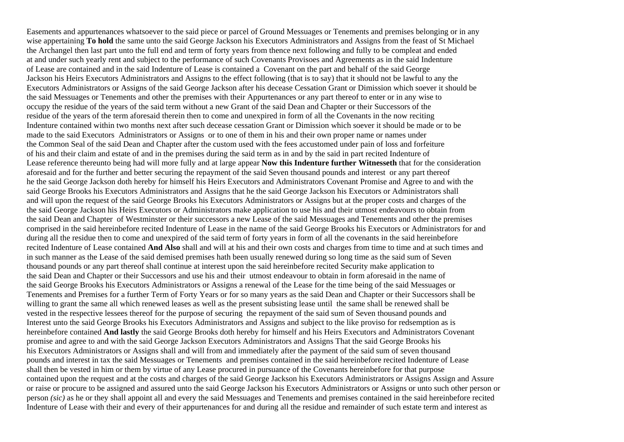Easements and appurtenances whatsoever to the said piece or parcel of Ground Messuages or Tenements and premises belonging or in any wise appertaining **To hold** the same unto the said George Jackson his Executors Administrators and Assigns from the feast of St Michael the Archangel then last part unto the full end and term of forty years from thence next following and fully to be compleat and ended at and under such yearly rent and subject to the performance of such Covenants Provisoes and Agreements as in the said Indenture of Lease are contained and in the said Indenture of Lease is contained a Covenant on the part and behalf of the said George Jackson his Heirs Executors Administrators and Assigns to the effect following (that is to say) that it should not be lawful to any the Executors Administrators or Assigns of the said George Jackson after his decease Cessation Grant or Dimission which soever it should be the said Messuages or Tenements and other the premises with their Appurtenances or any part thereof to enter or in any wise to occupy the residue of the years of the said term without a new Grant of the said Dean and Chapter or their Successors of the residue of the years of the term aforesaid therein then to come and unexpired in form of all the Covenants in the now reciting Indenture contained within two months next after such decease cessation Grant or Dimission which soever it should be made or to be made to the said Executors Administrators or Assigns or to one of them in his and their own proper name or names under the Common Seal of the said Dean and Chapter after the custom used with the fees accustomed under pain of loss and forfeiture of his and their claim and estate of and in the premises during the said term as in and by the said in part recited Indenture of Lease reference thereunto being had will more fully and at large appear **Now this Indenture further Witnesseth** that for the consideration aforesaid and for the further and better securing the repayment of the said Seven thousand pounds and interest or any part thereof he the said George Jackson doth hereby for himself his Heirs Executors and Administrators Covenant Promise and Agree to and with the said George Brooks his Executors Administrators and Assigns that he the said George Jackson his Executors or Administrators shall and will upon the request of the said George Brooks his Executors Administrators or Assigns but at the proper costs and charges of the the said George Jackson his Heirs Executors or Administrators make application to use his and their utmost endeavours to obtain from the said Dean and Chapter of Westminster or their successors a new Lease of the said Messuages and Tenements and other the premises comprised in the said hereinbefore recited Indenture of Lease in the name of the said George Brooks his Executors or Administrators for and during all the residue then to come and unexpired of the said term of forty years in form of all the covenants in the said hereinbefore recited Indenture of Lease contained **And Also** shall and will at his and their own costs and charges from time to time and at such times and in such manner as the Lease of the said demised premises hath been usually renewed during so long time as the said sum of Seven thousand pounds or any part thereof shall continue at interest upon the said hereinbefore recited Security make application to the said Dean and Chapter or their Successors and use his and their utmost endeavour to obtain in form aforesaid in the name of the said George Brooks his Executors Administrators or Assigns a renewal of the Lease for the time being of the said Messuages or Tenements and Premises for a further Term of Forty Years or for so many years as the said Dean and Chapter or their Successors shall be willing to grant the same all which renewed leases as well as the present subsisting lease until the same shall be renewed shall be vested in the respective lessees thereof for the purpose of securing the repayment of the said sum of Seven thousand pounds and Interest unto the said George Brooks his Executors Administrators and Assigns and subject to the like proviso for redsemption as is hereinbefore contained **And lastly** the said George Brooks doth hereby for himself and his Heirs Executors and Administrators Covenant promise and agree to and with the said George Jackson Executors Administrators and Assigns That the said George Brooks his his Executors Administrators or Assigns shall and will from and immediately after the payment of the said sum of seven thousand pounds and interest in tax the said Messuages or Tenements and premises contained in the said hereinbefore recited Indenture of Lease shall then be vested in him or them by virtue of any Lease procured in pursuance of the Covenants hereinbefore for that purpose contained upon the request and at the costs and charges of the said George Jackson his Executors Administrators or Assigns Assign and Assure or raise or procure to be assigned and assured unto the said George Jackson his Executors Administrators or Assigns or unto such other person or person *(sic)* as he or they shall appoint all and every the said Messuages and Tenements and premises contained in the said hereinbefore recited Indenture of Lease with their and every of their appurtenances for and during all the residue and remainder of such estate term and interest as